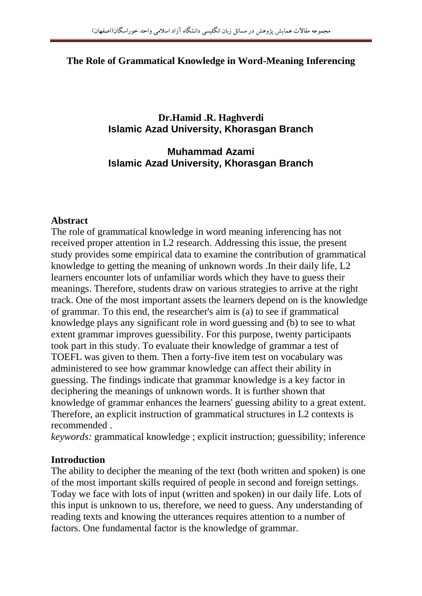#### **The Role of Grammatical Knowledge in Word-Meaning Inferencing**

#### **Dr.Hamid .R. Haghverdi Islamic Azad University, Khorasgan Branch**

#### **Muhammad Azami Islamic Azad University, Khorasgan Branch**

#### **Abstract**

The role of grammatical knowledge in word meaning inferencing has not received proper attention in L2 research. Addressing this issue, the present study provides some empirical data to examine the contribution of grammatical knowledge to getting the meaning of unknown words .In their daily life, L2 learners encounter lots of unfamiliar words which they have to guess their meanings. Therefore, students draw on various strategies to arrive at the right track. One of the most important assets the learners depend on is the knowledge of grammar. To this end, the researcher's aim is (a) to see if grammatical knowledge plays any significant role in word guessing and (b) to see to what extent grammar improves guessibility. For this purpose, twenty participants took part in this study. To evaluate their knowledge of grammar a test of TOEFL was given to them. Then a forty-five item test on vocabulary was administered to see how grammar knowledge can affect their ability in guessing. The findings indicate that grammar knowledge is a key factor in deciphering the meanings of unknown words. It is further shown that knowledge of grammar enhances the learners' guessing ability to a great extent. Therefore, an explicit instruction of grammatical structures in L2 contexts is recommended .

*keywords:* grammatical knowledge ; explicit instruction; guessibility; inference

#### **Introduction**

The ability to decipher the meaning of the text (both written and spoken) is one of the most important skills required of people in second and foreign settings. Today we face with lots of input (written and spoken) in our daily life. Lots of this input is unknown to us, therefore, we need to guess. Any understanding of reading texts and knowing the utterances requires attention to a number of factors. One fundamental factor is the knowledge of grammar.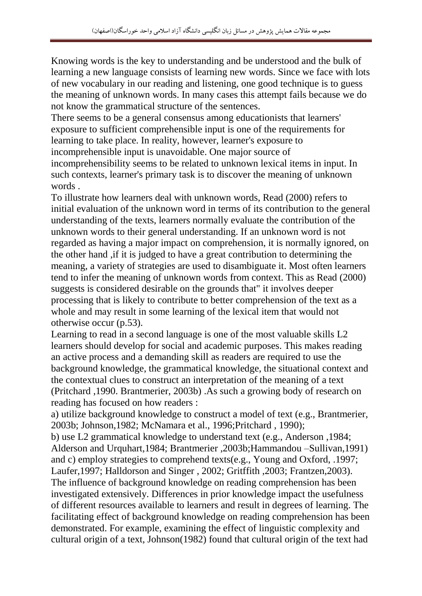Knowing words is the key to understanding and be understood and the bulk of learning a new language consists of learning new words. Since we face with lots of new vocabulary in our reading and listening, one good technique is to guess the meaning of unknown words. In many cases this attempt fails because we do not know the grammatical structure of the sentences.

There seems to be a general consensus among educationists that learners' exposure to sufficient comprehensible input is one of the requirements for learning to take place. In reality, however, learner's exposure to incomprehensible input is unavoidable. One major source of incomprehensibility seems to be related to unknown lexical items in input. In such contexts, learner's primary task is to discover the meaning of unknown words .

To illustrate how learners deal with unknown words, Read (2000) refers to initial evaluation of the unknown word in terms of its contribution to the general understanding of the texts, learners normally evaluate the contribution of the unknown words to their general understanding. If an unknown word is not regarded as having a major impact on comprehension, it is normally ignored, on the other hand ,if it is judged to have a great contribution to determining the meaning, a variety of strategies are used to disambiguate it. Most often learners tend to infer the meaning of unknown words from context. This as Read (2000) suggests is considered desirable on the grounds that" it involves deeper processing that is likely to contribute to better comprehension of the text as a whole and may result in some learning of the lexical item that would not otherwise occur (p.53).

Learning to read in a second language is one of the most valuable skills L2 learners should develop for social and academic purposes. This makes reading an active process and a demanding skill as readers are required to use the background knowledge, the grammatical knowledge, the situational context and the contextual clues to construct an interpretation of the meaning of a text (Pritchard ,1990. Brantmerier, 2003b) .As such a growing body of research on reading has focused on how readers :

a) utilize background knowledge to construct a model of text (e.g., Brantmerier, 2003b; Johnson,1982; McNamara et al., 1996;Pritchard , 1990);

b) use L2 grammatical knowledge to understand text (e.g., Anderson ,1984; Alderson and Urquhart,1984; Brantmerier ,2003b;Hammandou –Sullivan,1991) and c) employ strategies to comprehend texts(e.g., Young and Oxford, .1997; Laufer,1997; Halldorson and Singer , 2002; Gritffith ,2003; Frantzen,2003). The influence of background knowledge on reading comprehension has been investigated extensively. Differences in prior knowledge impact the usefulness of different resources available to learners and result in degrees of learning. The facilitating effect of background knowledge on reading comprehension has been demonstrated. For example, examining the effect of linguistic complexity and cultural origin of a text, Johnson(1982) found that cultural origin of the text had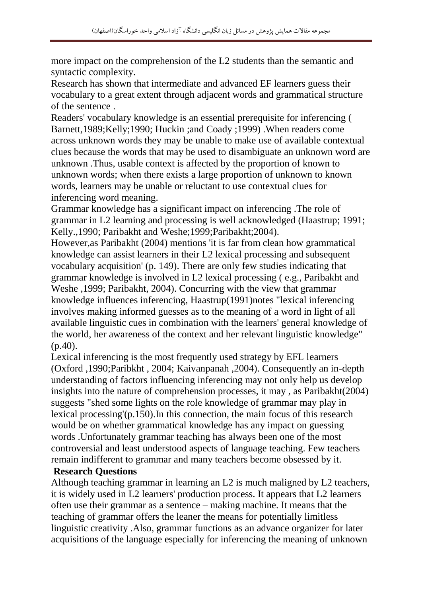more impact on the comprehension of the L2 students than the semantic and syntactic complexity.

Research has shown that intermediate and advanced EF learners guess their vocabulary to a great extent through adjacent words and grammatical structure of the sentence .

Readers' vocabulary knowledge is an essential prerequisite for inferencing ( Barnett,1989;Kelly;1990; Huckin ;and Coady ;1999) .When readers come across unknown words they may be unable to make use of available contextual clues because the words that may be used to disambiguate an unknown word are unknown .Thus, usable context is affected by the proportion of known to unknown words; when there exists a large proportion of unknown to known words, learners may be unable or reluctant to use contextual clues for inferencing word meaning.

Grammar knowledge has a significant impact on inferencing .The role of grammar in L2 learning and processing is well acknowledged (Haastrup; 1991; Kelly.,1990; Paribakht and Weshe;1999;Paribakht;2004).

However,as Paribakht (2004) mentions 'it is far from clean how grammatical knowledge can assist learners in their L2 lexical processing and subsequent vocabulary acquisition' (p. 149). There are only few studies indicating that grammar knowledge is involved in L2 lexical processing ( e.g., Paribakht and Weshe ,1999; Paribakht, 2004). Concurring with the view that grammar knowledge influences inferencing, Haastrup(1991)notes "lexical inferencing involves making informed guesses as to the meaning of a word in light of all available linguistic cues in combination with the learners' general knowledge of the world, her awareness of the context and her relevant linguistic knowledge" (p.40).

Lexical inferencing is the most frequently used strategy by EFL learners (Oxford ,1990;Paribkht , 2004; Kaivanpanah ,2004). Consequently an in-depth understanding of factors influencing inferencing may not only help us develop insights into the nature of comprehension processes, it may , as Paribakht(2004) suggests "shed some lights on the role knowledge of grammar may play in lexical processing'(p.150).In this connection, the main focus of this research would be on whether grammatical knowledge has any impact on guessing words .Unfortunately grammar teaching has always been one of the most controversial and least understood aspects of language teaching. Few teachers remain indifferent to grammar and many teachers become obsessed by it.

#### **Research Questions**

Although teaching grammar in learning an L2 is much maligned by L2 teachers, it is widely used in L2 learners' production process. It appears that L2 learners often use their grammar as a sentence – making machine. It means that the teaching of grammar offers the leaner the means for potentially limitless linguistic creativity .Also, grammar functions as an advance organizer for later acquisitions of the language especially for inferencing the meaning of unknown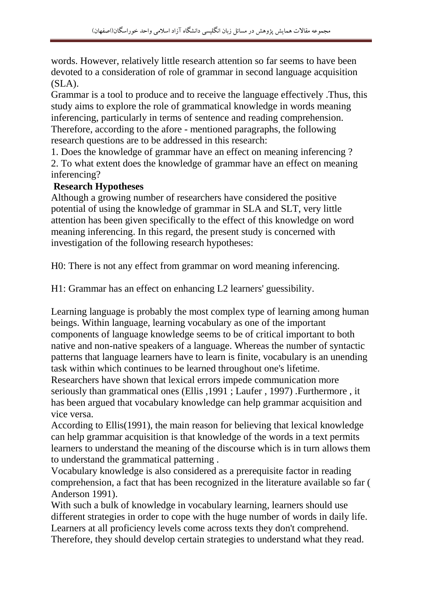words. However, relatively little research attention so far seems to have been devoted to a consideration of role of grammar in second language acquisition  $(SLA)$ .

Grammar is a tool to produce and to receive the language effectively .Thus, this study aims to explore the role of grammatical knowledge in words meaning inferencing, particularly in terms of sentence and reading comprehension. Therefore, according to the afore - mentioned paragraphs, the following research questions are to be addressed in this research:

1. Does the knowledge of grammar have an effect on meaning inferencing ? 2. To what extent does the knowledge of grammar have an effect on meaning inferencing?

#### **Research Hypotheses**

Although a growing number of researchers have considered the positive potential of using the knowledge of grammar in SLA and SLT, very little attention has been given specifically to the effect of this knowledge on word meaning inferencing. In this regard, the present study is concerned with investigation of the following research hypotheses:

H0: There is not any effect from grammar on word meaning inferencing.

H1: Grammar has an effect on enhancing L2 learners' guessibility.

Learning language is probably the most complex type of learning among human beings. Within language, learning vocabulary as one of the important components of language knowledge seems to be of critical important to both native and non-native speakers of a language. Whereas the number of syntactic patterns that language learners have to learn is finite, vocabulary is an unending task within which continues to be learned throughout one's lifetime.

Researchers have shown that lexical errors impede communication more seriously than grammatical ones (Ellis ,1991 ; Laufer , 1997) .Furthermore , it has been argued that vocabulary knowledge can help grammar acquisition and vice versa.

According to Ellis(1991), the main reason for believing that lexical knowledge can help grammar acquisition is that knowledge of the words in a text permits learners to understand the meaning of the discourse which is in turn allows them to understand the grammatical patterning .

Vocabulary knowledge is also considered as a prerequisite factor in reading comprehension, a fact that has been recognized in the literature available so far ( Anderson 1991).

With such a bulk of knowledge in vocabulary learning, learners should use different strategies in order to cope with the huge number of words in daily life. Learners at all proficiency levels come across texts they don't comprehend. Therefore, they should develop certain strategies to understand what they read.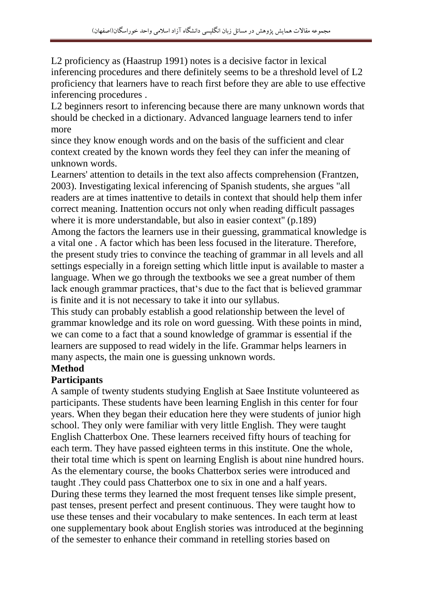L2 proficiency as (Haastrup 1991) notes is a decisive factor in lexical inferencing procedures and there definitely seems to be a threshold level of L2 proficiency that learners have to reach first before they are able to use effective inferencing procedures .

L2 beginners resort to inferencing because there are many unknown words that should be checked in a dictionary. Advanced language learners tend to infer more

since they know enough words and on the basis of the sufficient and clear context created by the known words they feel they can infer the meaning of unknown words.

Learners' attention to details in the text also affects comprehension (Frantzen, 2003). Investigating lexical inferencing of Spanish students, she argues "all readers are at times inattentive to details in context that should help them infer correct meaning. Inattention occurs not only when reading difficult passages where it is more understandable, but also in easier context" (p.189)

Among the factors the learners use in their guessing, grammatical knowledge is a vital one . A factor which has been less focused in the literature. Therefore, the present study tries to convince the teaching of grammar in all levels and all settings especially in a foreign setting which little input is available to master a language. When we go through the textbooks we see a great number of them lack enough grammar practices, that's due to the fact that is believed grammar is finite and it is not necessary to take it into our syllabus.

This study can probably establish a good relationship between the level of grammar knowledge and its role on word guessing. With these points in mind, we can come to a fact that a sound knowledge of grammar is essential if the learners are supposed to read widely in the life. Grammar helps learners in many aspects, the main one is guessing unknown words.

### **Method**

#### **Participants**

A sample of twenty students studying English at Saee Institute volunteered as participants. These students have been learning English in this center for four years. When they began their education here they were students of junior high school. They only were familiar with very little English. They were taught English Chatterbox One. These learners received fifty hours of teaching for each term. They have passed eighteen terms in this institute. One the whole, their total time which is spent on learning English is about nine hundred hours. As the elementary course, the books Chatterbox series were introduced and taught .They could pass Chatterbox one to six in one and a half years. During these terms they learned the most frequent tenses like simple present, past tenses, present perfect and present continuous. They were taught how to use these tenses and their vocabulary to make sentences. In each term at least one supplementary book about English stories was introduced at the beginning of the semester to enhance their command in retelling stories based on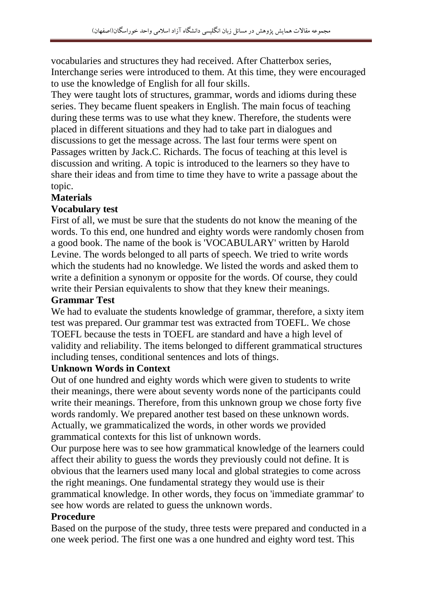vocabularies and structures they had received. After Chatterbox series, Interchange series were introduced to them. At this time, they were encouraged to use the knowledge of English for all four skills.

They were taught lots of structures, grammar, words and idioms during these series. They became fluent speakers in English. The main focus of teaching during these terms was to use what they knew. Therefore, the students were placed in different situations and they had to take part in dialogues and discussions to get the message across. The last four terms were spent on Passages written by Jack.C. Richards. The focus of teaching at this level is discussion and writing. A topic is introduced to the learners so they have to share their ideas and from time to time they have to write a passage about the topic.

#### **Materials**

#### **Vocabulary test**

First of all, we must be sure that the students do not know the meaning of the words. To this end, one hundred and eighty words were randomly chosen from a good book. The name of the book is 'VOCABULARY' written by Harold Levine. The words belonged to all parts of speech. We tried to write words which the students had no knowledge. We listed the words and asked them to write a definition a synonym or opposite for the words. Of course, they could write their Persian equivalents to show that they knew their meanings.

#### **Grammar Test**

We had to evaluate the students knowledge of grammar, therefore, a sixty item test was prepared. Our grammar test was extracted from TOEFL. We chose TOEFL because the tests in TOEFL are standard and have a high level of validity and reliability. The items belonged to different grammatical structures including tenses, conditional sentences and lots of things.

#### **Unknown Words in Context**

Out of one hundred and eighty words which were given to students to write their meanings, there were about seventy words none of the participants could write their meanings. Therefore, from this unknown group we chose forty five words randomly. We prepared another test based on these unknown words. Actually, we grammaticalized the words, in other words we provided grammatical contexts for this list of unknown words.

Our purpose here was to see how grammatical knowledge of the learners could affect their ability to guess the words they previously could not define. It is obvious that the learners used many local and global strategies to come across the right meanings. One fundamental strategy they would use is their grammatical knowledge. In other words, they focus on 'immediate grammar' to see how words are related to guess the unknown words.

#### **Procedure**

Based on the purpose of the study, three tests were prepared and conducted in a one week period. The first one was a one hundred and eighty word test. This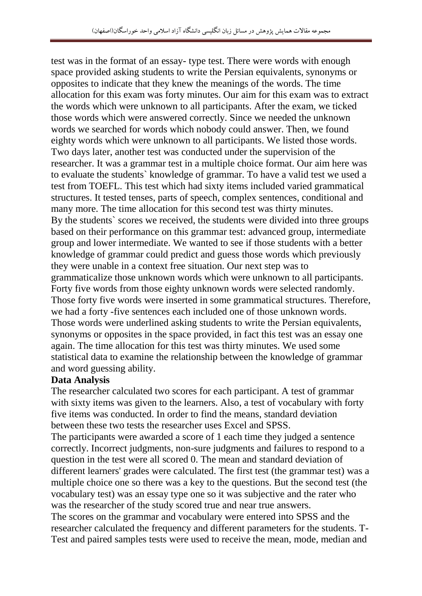test was in the format of an essay- type test. There were words with enough space provided asking students to write the Persian equivalents, synonyms or opposites to indicate that they knew the meanings of the words. The time allocation for this exam was forty minutes. Our aim for this exam was to extract the words which were unknown to all participants. After the exam, we ticked those words which were answered correctly. Since we needed the unknown words we searched for words which nobody could answer. Then, we found eighty words which were unknown to all participants. We listed those words. Two days later, another test was conducted under the supervision of the researcher. It was a grammar test in a multiple choice format. Our aim here was to evaluate the students` knowledge of grammar. To have a valid test we used a test from TOEFL. This test which had sixty items included varied grammatical structures. It tested tenses, parts of speech, complex sentences, conditional and many more. The time allocation for this second test was thirty minutes. By the students` scores we received, the students were divided into three groups based on their performance on this grammar test: advanced group, intermediate group and lower intermediate. We wanted to see if those students with a better knowledge of grammar could predict and guess those words which previously they were unable in a context free situation. Our next step was to grammaticalize those unknown words which were unknown to all participants. Forty five words from those eighty unknown words were selected randomly. Those forty five words were inserted in some grammatical structures. Therefore, we had a forty -five sentences each included one of those unknown words. Those words were underlined asking students to write the Persian equivalents, synonyms or opposites in the space provided, in fact this test was an essay one again. The time allocation for this test was thirty minutes. We used some statistical data to examine the relationship between the knowledge of grammar and word guessing ability.

#### **Data Analysis**

The researcher calculated two scores for each participant. A test of grammar with sixty items was given to the learners. Also, a test of vocabulary with forty five items was conducted. In order to find the means, standard deviation between these two tests the researcher uses Excel and SPSS.

The participants were awarded a score of 1 each time they judged a sentence correctly. Incorrect judgments, non-sure judgments and failures to respond to a question in the test were all scored 0. The mean and standard deviation of different learners' grades were calculated. The first test (the grammar test) was a multiple choice one so there was a key to the questions. But the second test (the vocabulary test) was an essay type one so it was subjective and the rater who was the researcher of the study scored true and near true answers.

The scores on the grammar and vocabulary were entered into SPSS and the researcher calculated the frequency and different parameters for the students. T-Test and paired samples tests were used to receive the mean, mode, median and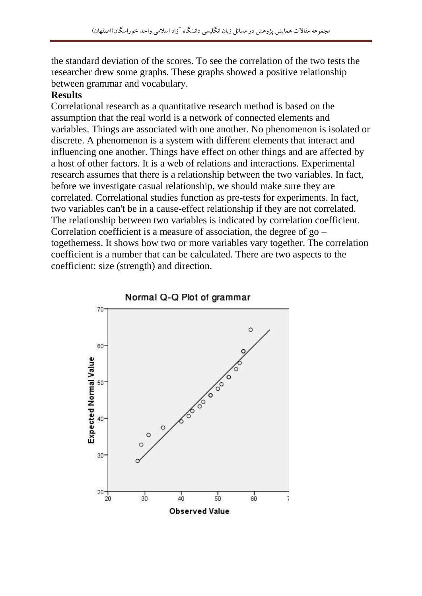the standard deviation of the scores. To see the correlation of the two tests the researcher drew some graphs. These graphs showed a positive relationship between grammar and vocabulary.

#### **Results**

Correlational research as a quantitative research method is based on the assumption that the real world is a network of connected elements and variables. Things are associated with one another. No phenomenon is isolated or discrete. A phenomenon is a system with different elements that interact and influencing one another. Things have effect on other things and are affected by a host of other factors. It is a web of relations and interactions. Experimental research assumes that there is a relationship between the two variables. In fact, before we investigate casual relationship, we should make sure they are correlated. Correlational studies function as pre-tests for experiments. In fact, two variables can't be in a cause-effect relationship if they are not correlated. The relationship between two variables is indicated by correlation coefficient. Correlation coefficient is a measure of association, the degree of go – togetherness. It shows how two or more variables vary together. The correlation coefficient is a number that can be calculated. There are two aspects to the coefficient: size (strength) and direction.

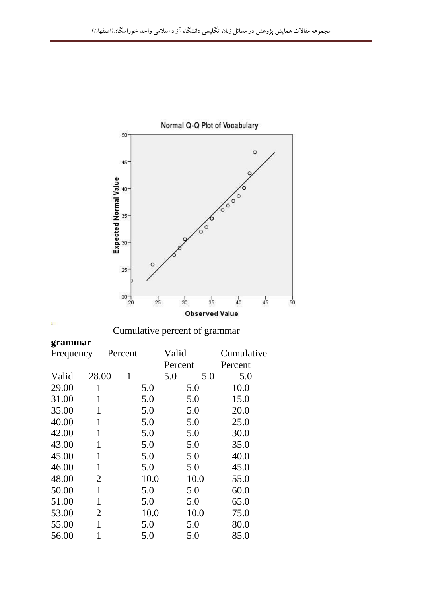

# Normal Q-Q Plot of Vocabulary

Cumulative percent of grammar

## **grammar**

| Frequency |                | Percent      |      | Valid   |      | Cumulative |
|-----------|----------------|--------------|------|---------|------|------------|
|           |                |              |      | Percent |      | Percent    |
| Valid     | 28.00          | $\mathbf{1}$ |      | 5.0     | 5.0  | 5.0        |
| 29.00     | 1              |              | 5.0  |         | 5.0  | 10.0       |
| 31.00     | 1              |              | 5.0  |         | 5.0  | 15.0       |
| 35.00     | $\mathbf{1}$   |              | 5.0  |         | 5.0  | 20.0       |
| 40.00     | 1              |              | 5.0  |         | 5.0  | 25.0       |
| 42.00     | $\mathbf{1}$   |              | 5.0  |         | 5.0  | 30.0       |
| 43.00     | 1              |              | 5.0  |         | 5.0  | 35.0       |
| 45.00     | 1              |              | 5.0  |         | 5.0  | 40.0       |
| 46.00     | 1              |              | 5.0  |         | 5.0  | 45.0       |
| 48.00     | $\overline{2}$ |              | 10.0 |         | 10.0 | 55.0       |
| 50.00     | $\mathbf{1}$   |              | 5.0  |         | 5.0  | 60.0       |
| 51.00     | 1              |              | 5.0  |         | 5.0  | 65.0       |
| 53.00     | $\overline{2}$ |              | 10.0 |         | 10.0 | 75.0       |
| 55.00     | 1              |              | 5.0  |         | 5.0  | 80.0       |
| 56.00     |                |              | 5.0  |         | 5.0  | 85.0       |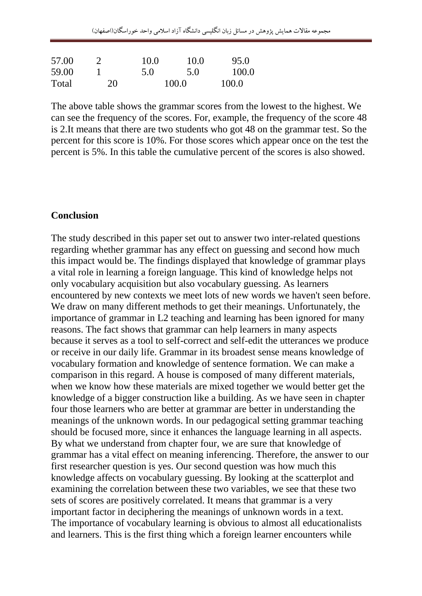| 57.00 |    | 10.0  | 10.0 | 95.0  |
|-------|----|-------|------|-------|
| 59.00 |    | 5.0   | 5.0  | 100.0 |
| Total | 20 | 100.0 |      | 100.0 |

The above table shows the grammar scores from the lowest to the highest. We can see the frequency of the scores. For, example, the frequency of the score 48 is 2.It means that there are two students who got 48 on the grammar test. So the percent for this score is 10%. For those scores which appear once on the test the percent is 5%. In this table the cumulative percent of the scores is also showed.

#### **Conclusion**

The study described in this paper set out to answer two inter-related questions regarding whether grammar has any effect on guessing and second how much this impact would be. The findings displayed that knowledge of grammar plays a vital role in learning a foreign language. This kind of knowledge helps not only vocabulary acquisition but also vocabulary guessing. As learners encountered by new contexts we meet lots of new words we haven't seen before. We draw on many different methods to get their meanings. Unfortunately, the importance of grammar in L2 teaching and learning has been ignored for many reasons. The fact shows that grammar can help learners in many aspects because it serves as a tool to self-correct and self-edit the utterances we produce or receive in our daily life. Grammar in its broadest sense means knowledge of vocabulary formation and knowledge of sentence formation. We can make a comparison in this regard. A house is composed of many different materials, when we know how these materials are mixed together we would better get the knowledge of a bigger construction like a building. As we have seen in chapter four those learners who are better at grammar are better in understanding the meanings of the unknown words. In our pedagogical setting grammar teaching should be focused more, since it enhances the language learning in all aspects. By what we understand from chapter four, we are sure that knowledge of grammar has a vital effect on meaning inferencing. Therefore, the answer to our first researcher question is yes. Our second question was how much this knowledge affects on vocabulary guessing. By looking at the scatterplot and examining the correlation between these two variables, we see that these two sets of scores are positively correlated. It means that grammar is a very important factor in deciphering the meanings of unknown words in a text. The importance of vocabulary learning is obvious to almost all educationalists and learners. This is the first thing which a foreign learner encounters while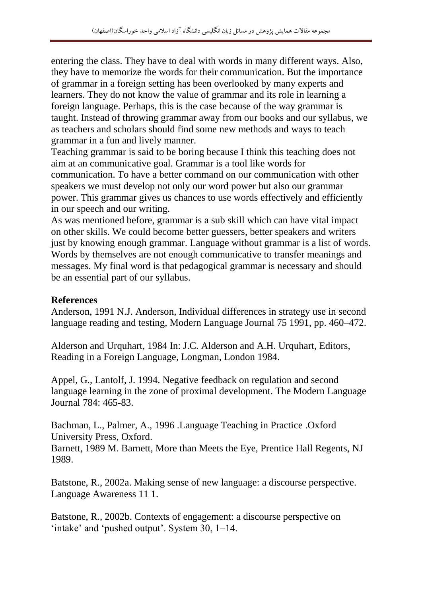entering the class. They have to deal with words in many different ways. Also, they have to memorize the words for their communication. But the importance of grammar in a foreign setting has been overlooked by many experts and learners. They do not know the value of grammar and its role in learning a foreign language. Perhaps, this is the case because of the way grammar is taught. Instead of throwing grammar away from our books and our syllabus, we as teachers and scholars should find some new methods and ways to teach grammar in a fun and lively manner.

Teaching grammar is said to be boring because I think this teaching does not aim at an communicative goal. Grammar is a tool like words for communication. To have a better command on our communication with other speakers we must develop not only our word power but also our grammar power. This grammar gives us chances to use words effectively and efficiently in our speech and our writing.

As was mentioned before, grammar is a sub skill which can have vital impact on other skills. We could become better guessers, better speakers and writers just by knowing enough grammar. Language without grammar is a list of words. Words by themselves are not enough communicative to transfer meanings and messages. My final word is that pedagogical grammar is necessary and should be an essential part of our syllabus.

#### **References**

Anderson, 1991 N.J. Anderson, Individual differences in strategy use in second language reading and testing, Modern Language Journal 75 1991, pp. 460–472.

Alderson and Urquhart, 1984 In: J.C. Alderson and A.H. Urquhart, Editors, Reading in a Foreign Language, Longman, London 1984.

Appel, G., Lantolf, J. 1994. Negative feedback on regulation and second language learning in the zone of proximal development. The Modern Language Journal 784: 465-83.

Bachman, L., Palmer, A., 1996 .Language Teaching in Practice .Oxford University Press, Oxford.

Barnett, 1989 M. Barnett, More than Meets the Eye, Prentice Hall Regents, NJ 1989.

Batstone, R., 2002a. Making sense of new language: a discourse perspective. Language Awareness 11 1.

Batstone, R., 2002b. Contexts of engagement: a discourse perspective on 'intake' and 'pushed output'. System 30, 1–14.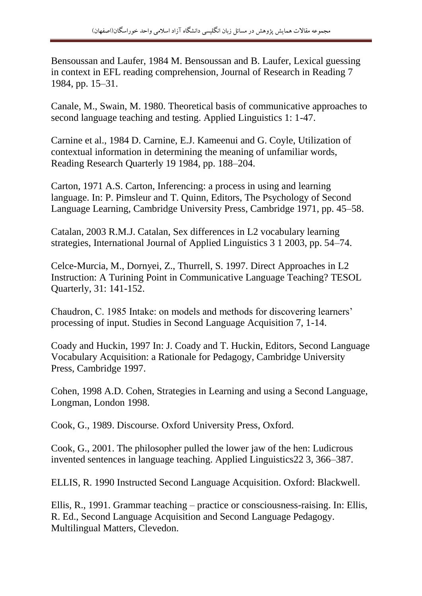Bensoussan and Laufer, 1984 M. Bensoussan and B. Laufer, Lexical guessing in context in EFL reading comprehension, Journal of Research in Reading 7 1984, pp. 15–31.

Canale, M., Swain, M. 1980. Theoretical basis of communicative approaches to second language teaching and testing. Applied Linguistics 1: 1-47.

Carnine et al., 1984 D. Carnine, E.J. Kameenui and G. Coyle, Utilization of contextual information in determining the meaning of unfamiliar words, Reading Research Quarterly 19 1984, pp. 188–204.

Carton, 1971 A.S. Carton, Inferencing: a process in using and learning language. In: P. Pimsleur and T. Quinn, Editors, The Psychology of Second Language Learning, Cambridge University Press, Cambridge 1971, pp. 45–58.

Catalan, 2003 R.M.J. Catalan, Sex differences in L2 vocabulary learning strategies, International Journal of Applied Linguistics 3 1 2003, pp. 54–74.

Celce-Murcia, M., Dornyei, Z., Thurrell, S. 1997. Direct Approaches in L2 Instruction: A Turining Point in Communicative Language Teaching? TESOL Quarterly, 31: 141-152.

Chaudron, C. 1985 Intake: on models and methods for discovering learners' processing of input. Studies in Second Language Acquisition 7, 1-14.

Coady and Huckin, 1997 In: J. Coady and T. Huckin, Editors, Second Language Vocabulary Acquisition: a Rationale for Pedagogy, Cambridge University Press, Cambridge 1997.

Cohen, 1998 A.D. Cohen, Strategies in Learning and using a Second Language, Longman, London 1998.

Cook, G., 1989. Discourse. Oxford University Press, Oxford.

Cook, G., 2001. The philosopher pulled the lower jaw of the hen: Ludicrous invented sentences in language teaching. Applied Linguistics22 3, 366–387.

ELLIS, R. 1990 Instructed Second Language Acquisition. Oxford: Blackwell.

Ellis, R., 1991. Grammar teaching – practice or consciousness-raising. In: Ellis, R. Ed., Second Language Acquisition and Second Language Pedagogy. Multilingual Matters, Clevedon.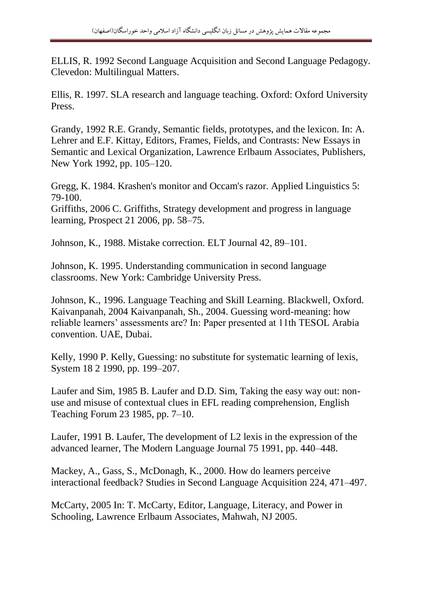ELLIS, R. 1992 Second Language Acquisition and Second Language Pedagogy. Clevedon: Multilingual Matters.

Ellis, R. 1997. SLA research and language teaching. Oxford: Oxford University Press.

Grandy, 1992 R.E. Grandy, Semantic fields, prototypes, and the lexicon. In: A. Lehrer and E.F. Kittay, Editors, Frames, Fields, and Contrasts: New Essays in Semantic and Lexical Organization, Lawrence Erlbaum Associates, Publishers, New York 1992, pp. 105–120.

Gregg, K. 1984. Krashen's monitor and Occam's razor. Applied Linguistics 5: 79-100.

Griffiths, 2006 C. Griffiths, Strategy development and progress in language learning, Prospect 21 2006, pp. 58–75.

Johnson, K., 1988. Mistake correction. ELT Journal 42, 89–101.

Johnson, K. 1995. Understanding communication in second language classrooms. New York: Cambridge University Press.

Johnson, K., 1996. Language Teaching and Skill Learning. Blackwell, Oxford. Kaivanpanah, 2004 Kaivanpanah, Sh., 2004. Guessing word-meaning: how reliable learners' assessments are? In: Paper presented at 11th TESOL Arabia convention. UAE, Dubai.

Kelly, 1990 P. Kelly, Guessing: no substitute for systematic learning of lexis, System 18 2 1990, pp. 199–207.

Laufer and Sim, 1985 B. Laufer and D.D. Sim, Taking the easy way out: nonuse and misuse of contextual clues in EFL reading comprehension, English Teaching Forum 23 1985, pp. 7–10.

Laufer, 1991 B. Laufer, The development of L2 lexis in the expression of the advanced learner, The Modern Language Journal 75 1991, pp. 440–448.

Mackey, A., Gass, S., McDonagh, K., 2000. How do learners perceive interactional feedback? Studies in Second Language Acquisition 224, 471–497.

McCarty, 2005 In: T. McCarty, Editor, Language, Literacy, and Power in Schooling, Lawrence Erlbaum Associates, Mahwah, NJ 2005.